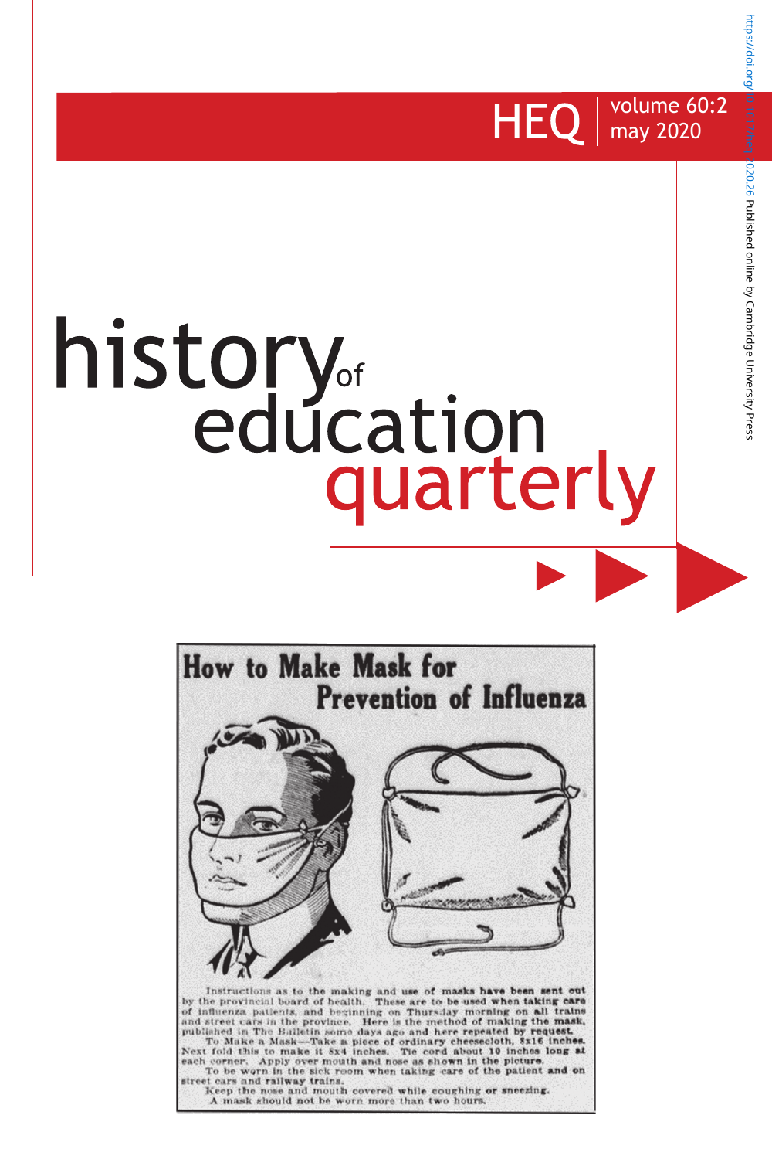

# history<sub>of</sub><br>education quarterly



https://doi.org/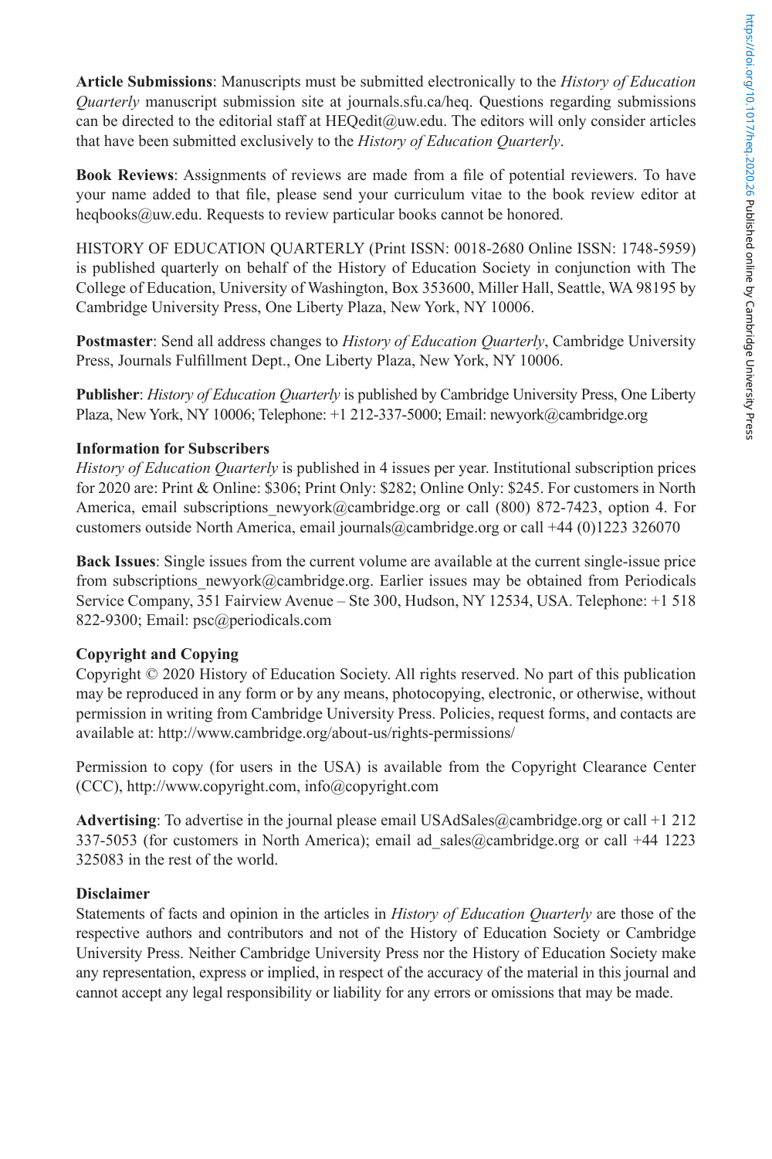**Article Submissions**: Manuscripts must be submitted electronically to the *History of Education Quarterly* manuscript submission site at journals.sfu.ca/heq. Questions regarding submissions can be directed to the editorial staff at HEOedit@uw.edu. The editors will only consider articles that have been submitted exclusively to the *History of Education Quarterly*.

**Book Reviews**: Assignments of reviews are made from a file of potential reviewers. To have your name added to that file, please send your curriculum vitae to the book review editor at heqbooks@uw.edu. Requests to review particular books cannot be honored.

HISTORY OF EDUCATION QUARTERLY (Print ISSN: 0018-2680 Online ISSN: 1748-5959) is published quarterly on behalf of the History of Education Society in conjunction with The College of Education, University of Washington, Box 353600, Miller Hall, Seattle, WA 98195 by Cambridge University Press, One Liberty Plaza, New York, NY 10006.

**Postmaster**: Send all address changes to *History of Education Quarterly*, Cambridge University Press, Journals Fulfillment Dept., One Liberty Plaza, New York, NY 10006.

**Publisher**: *History of Education Quarterly* is published by Cambridge University Press, One Liberty Plaza, New York, NY 10006; Telephone: +1 212-337-5000; Email: newyork@cambridge.org

# **Information for Subscribers**

*History of Education Quarterly* is published in 4 issues per year. Institutional subscription prices for 2020 are: Print & Online: \$306; Print Only: \$282; Online Only: \$245. For customers in North America, email subscriptions newyork@cambridge.org or call (800) 872-7423, option 4. For customers outside North America, email journals@cambridge.org or call +44 (0)1223 326070

**Back Issues**: Single issues from the current volume are available at the current single-issue price from subscriptions newyork@cambridge.org. Earlier issues may be obtained from Periodicals Service Company, 351 Fairview Avenue – Ste 300, Hudson, NY 12534, USA. Telephone: +1 518 822-9300; Email: psc@periodicals.com

# **Copyright and Copying**

Copyright © 2020 History of Education Society. All rights reserved. No part of this publication may be reproduced in any form or by any means, photocopying, electronic, or otherwise, without permission in writing from Cambridge University Press. Policies, request forms, and contacts are available at: http://www.cambridge.org/about-us/rights-permissions/

Permission to copy (for users in the USA) is available from the Copyright Clearance Center (CCC), http://www.copyright.com, info@copyright.com

**Advertising**: To advertise in the journal please email USAdSales@cambridge.org or call +1 212 337-5053 (for customers in North America); email ad\_sales@cambridge.org or call +44 1223 325083 in the rest of the world.

# **Disclaimer**

Statements of facts and opinion in the articles in *History of Education Quarterly* are those of the respective authors and contributors and not of the History of Education Society or Cambridge University Press. Neither Cambridge University Press nor the History of Education Society make any representation, express or implied, in respect of the accuracy of the material in this journal and cannot accept any legal responsibility or liability for any errors or omissions that may be made.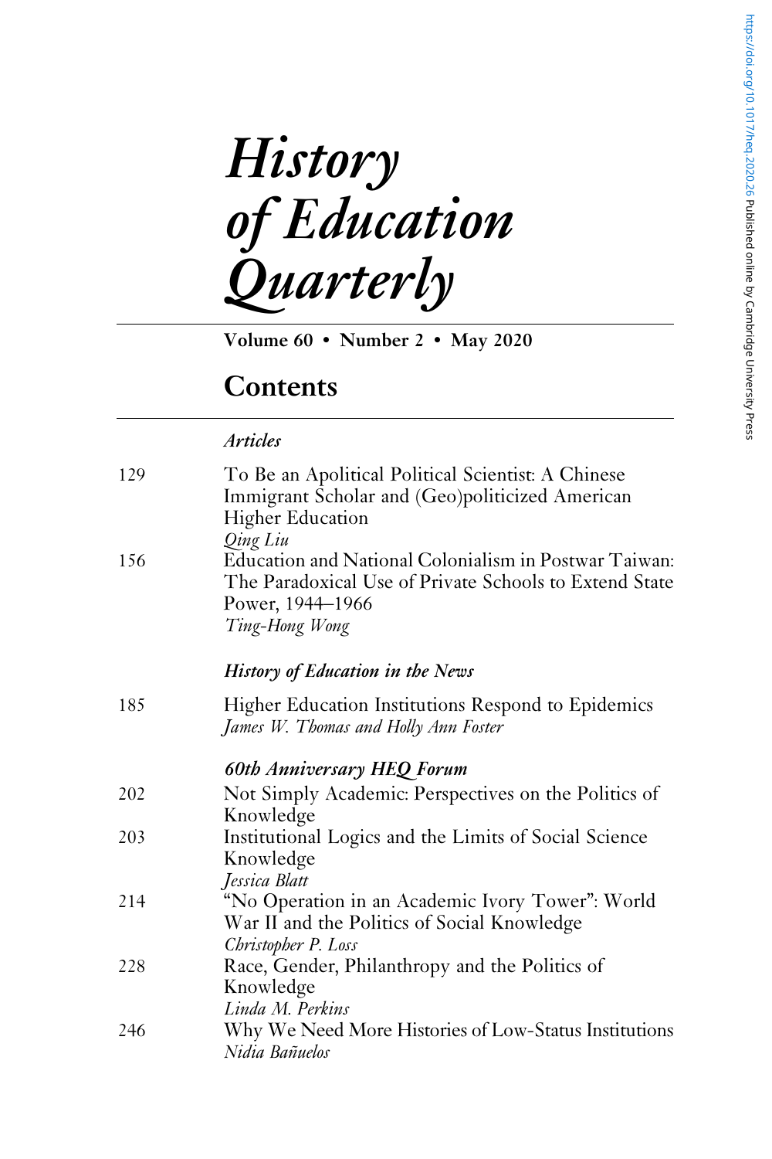**History** of Education Quarterly

Volume 60 • Number 2 • May 2020

# **Contents**

# Articles

| 129 | To Be an Apolitical Political Scientist: A Chinese<br>Immigrant Scholar and (Geo)politicized American<br><b>Higher Education</b><br>Qing Liu          |
|-----|-------------------------------------------------------------------------------------------------------------------------------------------------------|
| 156 | Education and National Colonialism in Postwar Taiwan:<br>The Paradoxical Use of Private Schools to Extend State<br>Power, 1944–1966<br>Ting-Hong Wong |
|     | History of Education in the News                                                                                                                      |
| 185 | Higher Education Institutions Respond to Epidemics<br>James W. Thomas and Holly Ann Foster                                                            |
|     | <b>60th Anniversary HEQ Forum</b>                                                                                                                     |
| 202 | Not Simply Academic: Perspectives on the Politics of<br>Knowledge                                                                                     |
| 203 | Institutional Logics and the Limits of Social Science<br>Knowledge<br>Jessica Blatt                                                                   |
| 214 | "No Operation in an Academic Ivory Tower": World<br>War II and the Politics of Social Knowledge<br>Christopher P. Loss                                |
| 228 | Race, Gender, Philanthropy and the Politics of<br>Knowledge<br>Linda M. Perkins                                                                       |
| 246 | Why We Need More Histories of Low-Status Institutions<br>Nidia Bañuelos                                                                               |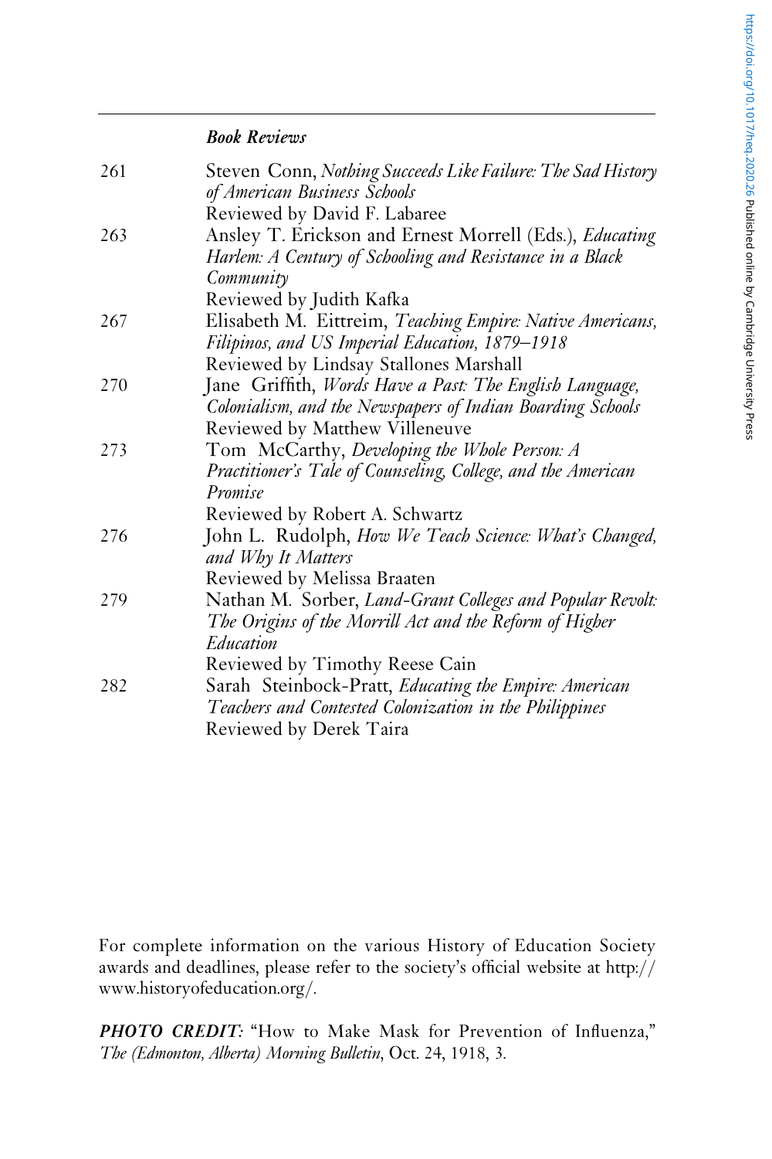# Book Reviews

| 261<br>263 | Steven Conn, Nothing Succeeds Like Failure: The Sad History                                                         |
|------------|---------------------------------------------------------------------------------------------------------------------|
|            | of American Business Schools                                                                                        |
|            | Reviewed by David F. Labaree                                                                                        |
|            | Ansley T. Erickson and Ernest Morrell (Eds.), Educating<br>Harlem: A Century of Schooling and Resistance in a Black |
|            | Community                                                                                                           |
|            | Reviewed by Judith Kafka                                                                                            |
| 267        | Elisabeth M. Eittreim, Teaching Empire: Native Americans,                                                           |
|            | Filipinos, and US Imperial Education, 1879–1918                                                                     |
|            | Reviewed by Lindsay Stallones Marshall                                                                              |
| 270        | Jane Griffith, Words Have a Past: The English Language,                                                             |
|            | Colonialism, and the Newspapers of Indian Boarding Schools                                                          |
|            | Reviewed by Matthew Villeneuve                                                                                      |
| 273        | Tom McCarthy, Developing the Whole Person: A                                                                        |
|            | Practitioner's Tale of Counseling, College, and the American                                                        |
|            | Promise                                                                                                             |
|            | Reviewed by Robert A. Schwartz                                                                                      |
| 276        | John L. Rudolph, How We Teach Science: What's Changed,<br>and Why It Matters                                        |
|            | Reviewed by Melissa Braaten                                                                                         |
| 279        | Nathan M. Sorber, Land-Grant Colleges and Popular Revolt:                                                           |
|            | The Origins of the Morrill Act and the Reform of Higher                                                             |
|            | Education                                                                                                           |
|            | Reviewed by Timothy Reese Cain                                                                                      |
| 282        | Sarah Steinbock-Pratt, Educating the Empire: American                                                               |
|            | Teachers and Contested Colonization in the Philippines                                                              |
|            | Reviewed by Derek Taira                                                                                             |

For complete information on the various History of Education Society awards and deadlines, please refer to the society's official website at http:// www.historyofeducation.org/.

PHOTO CREDIT: "How to Make Mask for Prevention of Influenza," The (Edmonton, Alberta) Morning Bulletin, Oct. 24, 1918, 3.